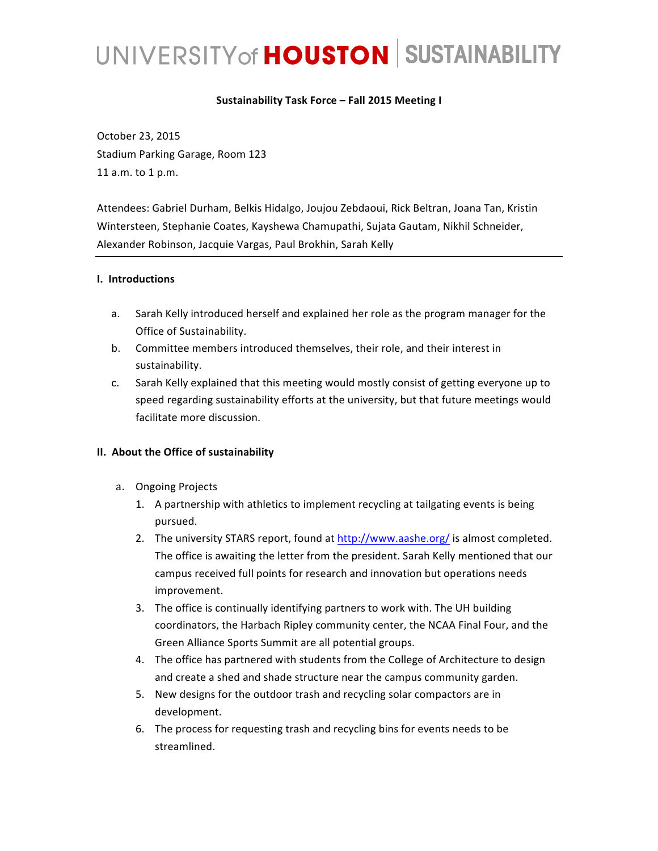### Sustainability Task Force - Fall 2015 Meeting I

October 23, 2015 Stadium Parking Garage, Room 123 11 a.m. to 1 p.m.

Attendees: Gabriel Durham, Belkis Hidalgo, Joujou Zebdaoui, Rick Beltran, Joana Tan, Kristin Wintersteen, Stephanie Coates, Kayshewa Chamupathi, Sujata Gautam, Nikhil Schneider, Alexander Robinson, Jacquie Vargas, Paul Brokhin, Sarah Kelly

#### **I. Introductions**

- a. Sarah Kelly introduced herself and explained her role as the program manager for the Office of Sustainability.
- b. Committee members introduced themselves, their role, and their interest in sustainability.
- c. Sarah Kelly explained that this meeting would mostly consist of getting everyone up to speed regarding sustainability efforts at the university, but that future meetings would facilitate more discussion.

#### **II.** About the Office of sustainability

- a. Ongoing Projects
	- 1. A partnership with athletics to implement recycling at tailgating events is being pursued.
	- 2. The university STARS report, found at http://www.aashe.org/ is almost completed. The office is awaiting the letter from the president. Sarah Kelly mentioned that our campus received full points for research and innovation but operations needs improvement.
	- 3. The office is continually identifying partners to work with. The UH building coordinators, the Harbach Ripley community center, the NCAA Final Four, and the Green Alliance Sports Summit are all potential groups.
	- 4. The office has partnered with students from the College of Architecture to design and create a shed and shade structure near the campus community garden.
	- 5. New designs for the outdoor trash and recycling solar compactors are in development.
	- 6. The process for requesting trash and recycling bins for events needs to be streamlined.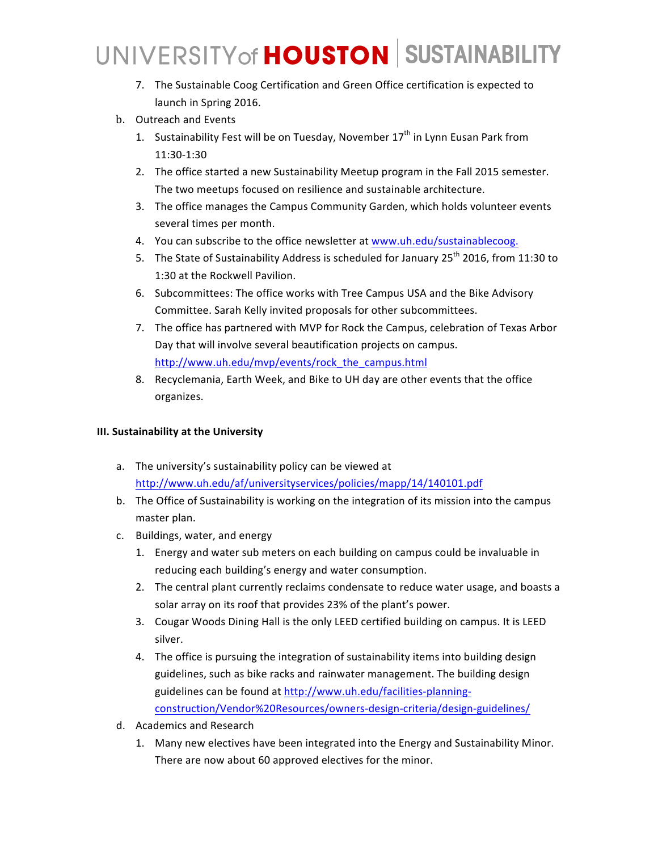- 7. The Sustainable Coog Certification and Green Office certification is expected to launch in Spring 2016.
- b. Outreach and Events
	- 1. Sustainability Fest will be on Tuesday, November  $17<sup>th</sup>$  in Lynn Eusan Park from 11:30-1:30
	- 2. The office started a new Sustainability Meetup program in the Fall 2015 semester. The two meetups focused on resilience and sustainable architecture.
	- 3. The office manages the Campus Community Garden, which holds volunteer events several times per month.
	- 4. You can subscribe to the office newsletter at www.uh.edu/sustainablecoog.
	- 5. The State of Sustainability Address is scheduled for January  $25<sup>th</sup>$  2016, from 11:30 to 1:30 at the Rockwell Pavilion.
	- 6. Subcommittees: The office works with Tree Campus USA and the Bike Advisory Committee. Sarah Kelly invited proposals for other subcommittees.
	- 7. The office has partnered with MVP for Rock the Campus, celebration of Texas Arbor Day that will involve several beautification projects on campus. http://www.uh.edu/mvp/events/rock\_the\_campus.html
	- 8. Recyclemania, Earth Week, and Bike to UH day are other events that the office organizes.

## **III. Sustainability at the University**

- a. The university's sustainability policy can be viewed at http://www.uh.edu/af/universityservices/policies/mapp/14/140101.pdf
- b. The Office of Sustainability is working on the integration of its mission into the campus master plan.
- c. Buildings, water, and energy
	- 1. Energy and water sub meters on each building on campus could be invaluable in reducing each building's energy and water consumption.
	- 2. The central plant currently reclaims condensate to reduce water usage, and boasts a solar array on its roof that provides 23% of the plant's power.
	- 3. Cougar Woods Dining Hall is the only LEED certified building on campus. It is LEED silver.
	- 4. The office is pursuing the integration of sustainability items into building design guidelines, such as bike racks and rainwater management. The building design guidelines can be found at http://www.uh.edu/facilities-planningconstruction/Vendor%20Resources/owners-design-criteria/design-guidelines/
- d. Academics and Research
	- 1. Many new electives have been integrated into the Energy and Sustainability Minor. There are now about 60 approved electives for the minor.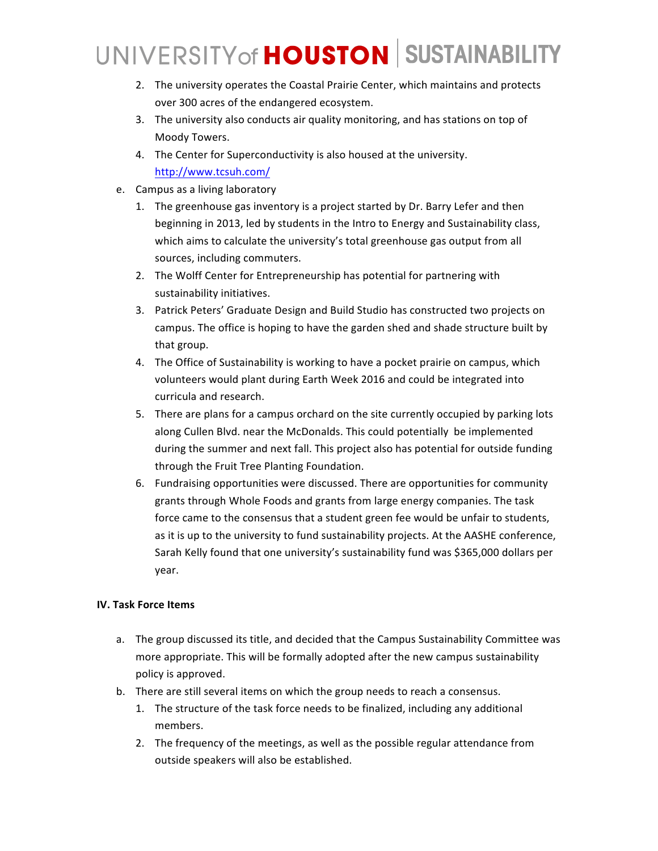- 2. The university operates the Coastal Prairie Center, which maintains and protects over 300 acres of the endangered ecosystem.
- 3. The university also conducts air quality monitoring, and has stations on top of Moody Towers.
- 4. The Center for Superconductivity is also housed at the university. http://www.tcsuh.com/
- e. Campus as a living laboratory
	- 1. The greenhouse gas inventory is a project started by Dr. Barry Lefer and then beginning in 2013, led by students in the Intro to Energy and Sustainability class, which aims to calculate the university's total greenhouse gas output from all sources, including commuters.
	- 2. The Wolff Center for Entrepreneurship has potential for partnering with sustainability initiatives.
	- 3. Patrick Peters' Graduate Design and Build Studio has constructed two projects on campus. The office is hoping to have the garden shed and shade structure built by that group.
	- 4. The Office of Sustainability is working to have a pocket prairie on campus, which volunteers would plant during Earth Week 2016 and could be integrated into curricula and research.
	- 5. There are plans for a campus orchard on the site currently occupied by parking lots along Cullen Blvd. near the McDonalds. This could potentially be implemented during the summer and next fall. This project also has potential for outside funding through the Fruit Tree Planting Foundation.
	- 6. Fundraising opportunities were discussed. There are opportunities for community grants through Whole Foods and grants from large energy companies. The task force came to the consensus that a student green fee would be unfair to students, as it is up to the university to fund sustainability projects. At the AASHE conference, Sarah Kelly found that one university's sustainability fund was \$365,000 dollars per year.

## **IV. Task Force Items**

- a. The group discussed its title, and decided that the Campus Sustainability Committee was more appropriate. This will be formally adopted after the new campus sustainability policy is approved.
- b. There are still several items on which the group needs to reach a consensus.
	- 1. The structure of the task force needs to be finalized, including any additional members.
	- 2. The frequency of the meetings, as well as the possible regular attendance from outside speakers will also be established.